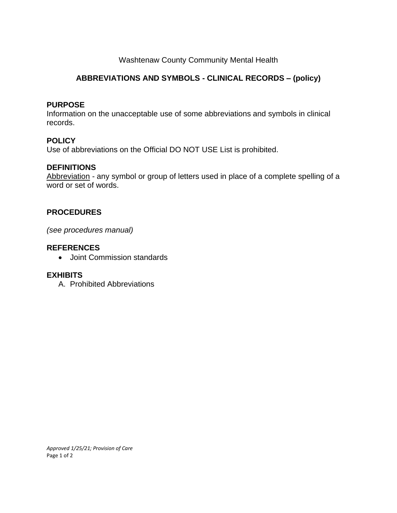## Washtenaw County Community Mental Health

# **ABBREVIATIONS AND SYMBOLS - CLINICAL RECORDS – (policy)**

#### **PURPOSE**

Information on the unacceptable use of some abbreviations and symbols in clinical records.

## **POLICY**

Use of abbreviations on the Official DO NOT USE List is prohibited.

## **DEFINITIONS**

Abbreviation - any symbol or group of letters used in place of a complete spelling of a word or set of words.

## **PROCEDURES**

*(see procedures manual)*

### **REFERENCES**

• Joint Commission standards

### **EXHIBITS**

A. Prohibited Abbreviations